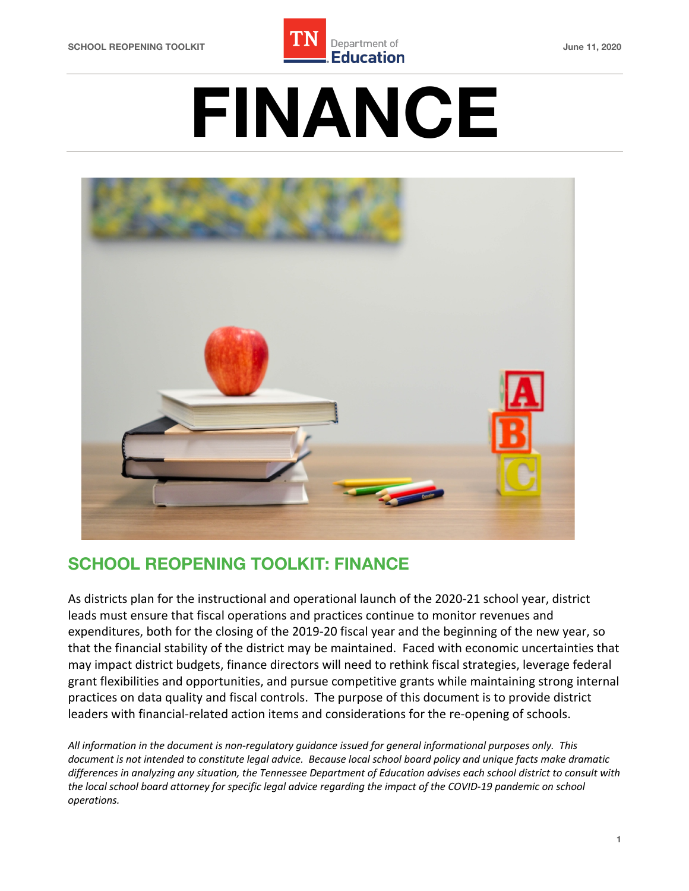

# **FINANCE**



# **SCHOOL REOPENING TOOLKIT: FINANCE**

 As districts plan for the instructional and operational launch of the 2020-21 school year, district leads must ensure that fiscal operations and practices continue to monitor revenues and expenditures, both for the closing of the 2019-20 fiscal year and the beginning of the new year, so that the financial stability of the district may be maintained. Faced with economic uncertainties that may impact district budgets, finance directors will need to rethink fiscal strategies, leverage federal grant flexibilities and opportunities, and pursue competitive grants while maintaining strong internal practices on data quality and fiscal controls. The purpose of this document is to provide district leaders with financial-related action items and considerations for the re-opening of schools.

 *All information in the document is non-regulatory guidance issued for general informational purposes only. This document is not intended to constitute legal advice. Because local school board policy and unique facts make dramatic differences in analyzing any situation, the Tennessee Department of Education advises each school district to consult with the local school board attorney for specific legal advice regarding the impact of the COVID-19 pandemic on school operations.*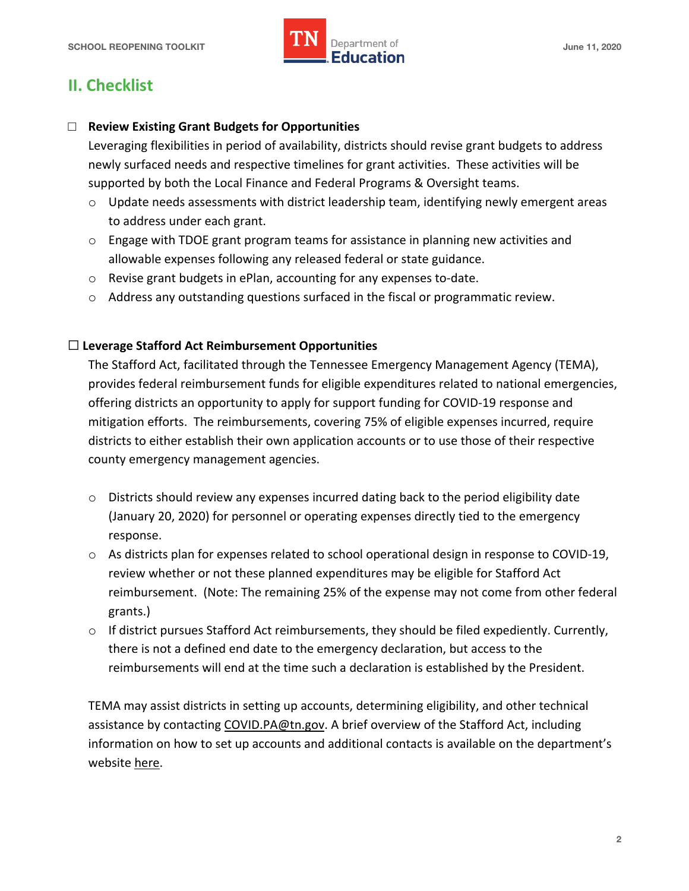

# **II. Checklist**

# □ **Review Existing Grant Budgets for Opportunities**

 Leveraging flexibilities in period of availability, districts should revise grant budgets to address newly surfaced needs and respective timelines for grant activities. These activities will be supported by both the Local Finance and Federal Programs & Oversight teams.

- o Update needs assessments with district leadership team, identifying newly emergent areas to address under each grant.
- $\circ$  Engage with TDOE grant program teams for assistance in planning new activities and allowable expenses following any released federal or state guidance.
- o Revise grant budgets in ePlan, accounting for any expenses to-date.
- $\circ$  Address any outstanding questions surfaced in the fiscal or programmatic review.

## ☐ **Leverage Stafford Act Reimbursement Opportunities**

 The Stafford Act, facilitated through the Tennessee Emergency Management Agency (TEMA), provides federal reimbursement funds for eligible expenditures related to national emergencies, offering districts an opportunity to apply for support funding for COVID-19 response and mitigation efforts. The reimbursements, covering 75% of eligible expenses incurred, require districts to either establish their own application accounts or to use those of their respective county emergency management agencies.

- $\circ$  Districts should review any expenses incurred dating back to the period eligibility date (January 20, 2020) for personnel or operating expenses directly tied to the emergency response.
- o As districts plan for expenses related to school operational design in response to COVID-19, review whether or not these planned expenditures may be eligible for Stafford Act reimbursement. (Note: The remaining 25% of the expense may not come from other federal grants.)
- $\circ$  If district pursues Stafford Act reimbursements, they should be filed expediently. Currently, there is not a defined end date to the emergency declaration, but access to the reimbursements will end at the time such a declaration is established by the President.

 TEMA may assist districts in setting up accounts, determining eligibility, and other technical assistance by contacting [COVID.PA@tn.gov](mailto:COVID.PA@tn.gov). A brief overview of the Stafford Act, including information on how to set up accounts and additional contacts is available on the department's website <u>here</u>.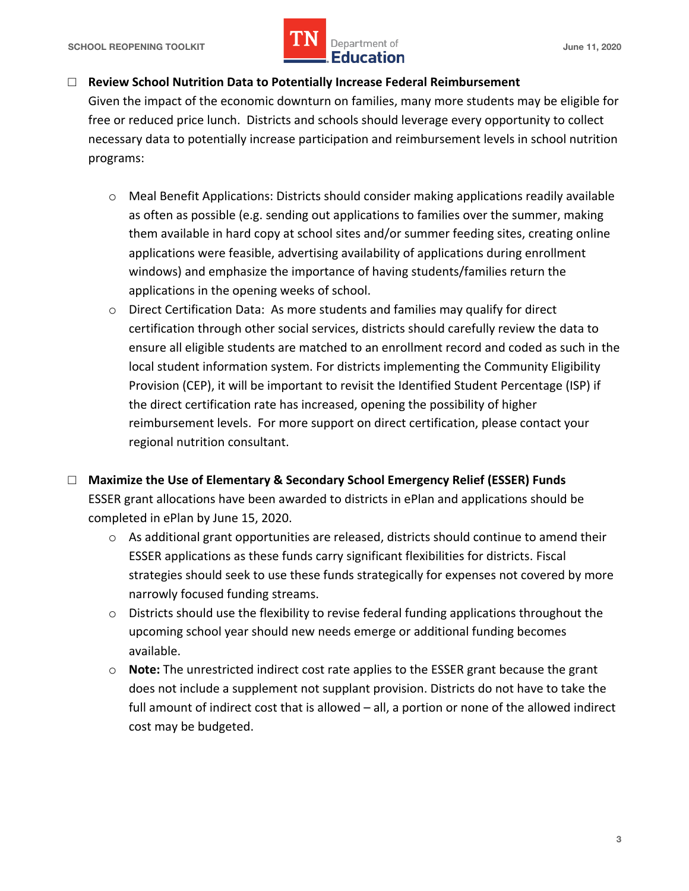

## □ Review School Nutrition Data to Potentially Increase Federal Reimbursement

 Given the impact of the economic downturn on families, many more students may be eligible for free or reduced price lunch. Districts and schools should leverage every opportunity to collect necessary data to potentially increase participation and reimbursement levels in school nutrition programs:

- o Meal Benefit Applications: Districts should consider making applications readily available as often as possible (e.g. sending out applications to families over the summer, making them available in hard copy at school sites and/or summer feeding sites, creating online applications were feasible, advertising availability of applications during enrollment windows) and emphasize the importance of having students/families return the applications in the opening weeks of school.
- o Direct Certification Data: As more students and families may qualify for direct certification through other social services, districts should carefully review the data to ensure all eligible students are matched to an enrollment record and coded as such in the local student information system. For districts implementing the Community Eligibility Provision (CEP), it will be important to revisit the Identified Student Percentage (ISP) if the direct certification rate has increased, opening the possibility of higher reimbursement levels. For more support on direct certification, please contact your regional nutrition consultant.
- □ Maximize the Use of Elementary & Secondary School Emergency Relief (ESSER) Funds ESSER grant allocations have been awarded to districts in ePlan and applications should be completed in ePlan by June 15, 2020.
	- $\circ$  As additional grant opportunities are released, districts should continue to amend their ESSER applications as these funds carry significant flexibilities for districts. Fiscal strategies should seek to use these funds strategically for expenses not covered by more narrowly focused funding streams.
	- o Districts should use the flexibility to revise federal funding applications throughout the upcoming school year should new needs emerge or additional funding becomes available.
	- o **Note:** The unrestricted indirect cost rate applies to the ESSER grant because the grant does not include a supplement not supplant provision. Districts do not have to take the full amount of indirect cost that is allowed – all, a portion or none of the allowed indirect cost may be budgeted.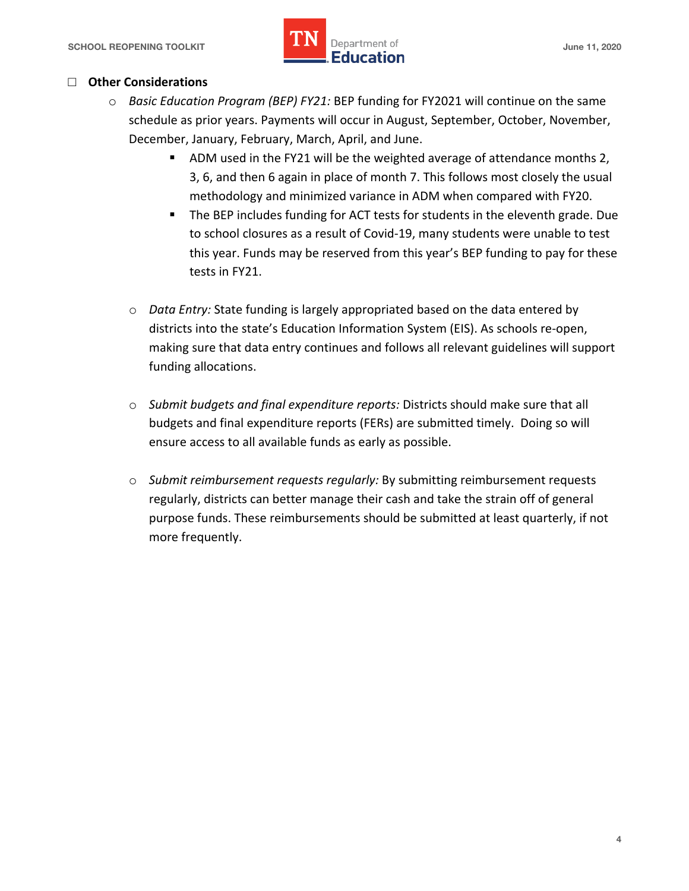#### □ **Other Considerations**

- o *Basic Education Program (BEP) FY21:* BEP funding for FY2021 will continue on the same schedule as prior years. Payments will occur in August, September, October, November, December, January, February, March, April, and June.
	- • ADM used in the FY21 will be the weighted average of attendance months 2, 3, 6, and then 6 again in place of month 7. This follows most closely the usual methodology and minimized variance in ADM when compared with FY20.
	- • The BEP includes funding for ACT tests for students in the eleventh grade. Due to school closures as a result of Covid-19, many students were unable to test this year. Funds may be reserved from this year's BEP funding to pay for these tests in FY21.
	- o *Data Entry:* State funding is largely appropriated based on the data entered by districts into the state's Education Information System (EIS). As schools re-open, making sure that data entry continues and follows all relevant guidelines will support funding allocations.
	- o *Submit budgets and final expenditure reports:* Districts should make sure that all budgets and final expenditure reports (FERs) are submitted timely. Doing so will ensure access to all available funds as early as possible.
	- o *Submit reimbursement requests regularly:* By submitting reimbursement requests regularly, districts can better manage their cash and take the strain off of general purpose funds. These reimbursements should be submitted at least quarterly, if not more frequently.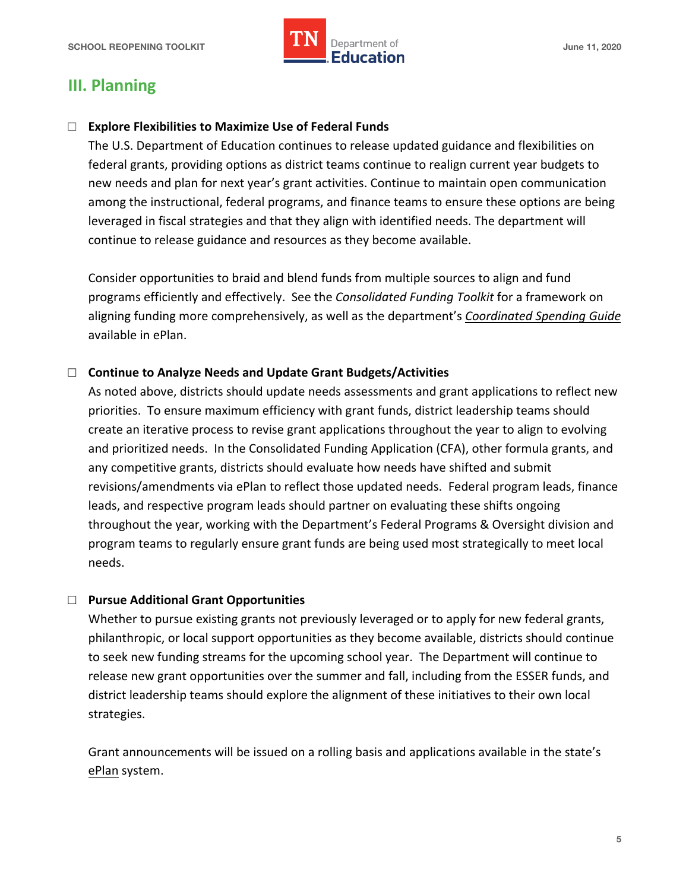

# **III. Planning**

# □ Explore Flexibilities to Maximize Use of Federal Funds

 The U.S. Department of Education continues to release updated guidance and flexibilities on federal grants, providing options as district teams continue to realign current year budgets to new needs and plan for next year's grant activities. Continue to maintain open communication among the instructional, federal programs, and finance teams to ensure these options are being leveraged in fiscal strategies and that they align with identified needs. The department will continue to release guidance and resources as they become available.

 Consider opportunities to braid and blend funds from multiple sources to align and fund programs efficiently and effectively. See the *Consolidated Funding Toolkit* for a framework on aligning funding more comprehensively, as well as the department's *[Coordinated Spending Guide](https://eplan.tn.gov/DocumentLibrary/ViewDocument.aspx?DocumentKey=1576652&inline=true)*  available in ePlan.

# □ **Continue to Analyze Needs and Update Grant Budgets/Activities**

 As noted above, districts should update needs assessments and grant applications to reflect new priorities. To ensure maximum efficiency with grant funds, district leadership teams should create an iterative process to revise grant applications throughout the year to align to evolving and prioritized needs. In the Consolidated Funding Application (CFA), other formula grants, and any competitive grants, districts should evaluate how needs have shifted and submit revisions/amendments via ePlan to reflect those updated needs. Federal program leads, finance leads, and respective program leads should partner on evaluating these shifts ongoing throughout the year, working with the Department's Federal Programs & Oversight division and program teams to regularly ensure grant funds are being used most strategically to meet local needs.

# □ **Pursue Additional Grant Opportunities**

 Whether to pursue existing grants not previously leveraged or to apply for new federal grants, philanthropic, or local support opportunities as they become available, districts should continue to seek new funding streams for the upcoming school year. The Department will continue to release new grant opportunities over the summer and fall, including from the ESSER funds, and district leadership teams should explore the alignment of these initiatives to their own local strategies.

strategies.<br>Grant announcements will be issued on a rolling basis and applications available in the state's ePlan system.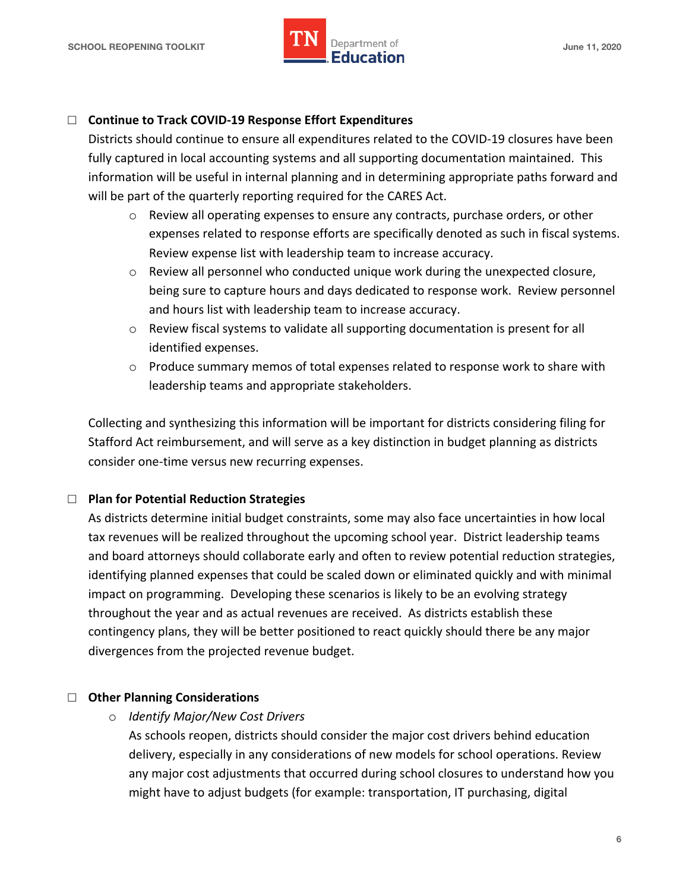

### □ Continue to Track COVID-19 Response Effort Expenditures

 Districts should continue to ensure all expenditures related to the COVID-19 closures have been fully captured in local accounting systems and all supporting documentation maintained. This information will be useful in internal planning and in determining appropriate paths forward and will be part of the quarterly reporting required for the CARES Act.

- $\circ$  Review all operating expenses to ensure any contracts, purchase orders, or other expenses related to response efforts are specifically denoted as such in fiscal systems. Review expense list with leadership team to increase accuracy.
- o Review all personnel who conducted unique work during the unexpected closure, being sure to capture hours and days dedicated to response work. Review personnel and hours list with leadership team to increase accuracy.
- o Review fiscal systems to validate all supporting documentation is present for all identified expenses.
- $\circ$  Produce summary memos of total expenses related to response work to share with leadership teams and appropriate stakeholders.

 Collecting and synthesizing this information will be important for districts considering filing for Stafford Act reimbursement, and will serve as a key distinction in budget planning as districts consider one-time versus new recurring expenses.

#### □ **Plan for Potential Reduction Strategies**

 As districts determine initial budget constraints, some may also face uncertainties in how local tax revenues will be realized throughout the upcoming school year. District leadership teams and board attorneys should collaborate early and often to review potential reduction strategies, identifying planned expenses that could be scaled down or eliminated quickly and with minimal impact on programming. Developing these scenarios is likely to be an evolving strategy throughout the year and as actual revenues are received. As districts establish these contingency plans, they will be better positioned to react quickly should there be any major divergences from the projected revenue budget.

#### □ **Other Planning Considerations**

 o *Identify Major/New Cost Drivers* 

 As schools reopen, districts should consider the major cost drivers behind education delivery, especially in any considerations of new models for school operations. Review any major cost adjustments that occurred during school closures to understand how you might have to adjust budgets (for example: transportation, IT purchasing, digital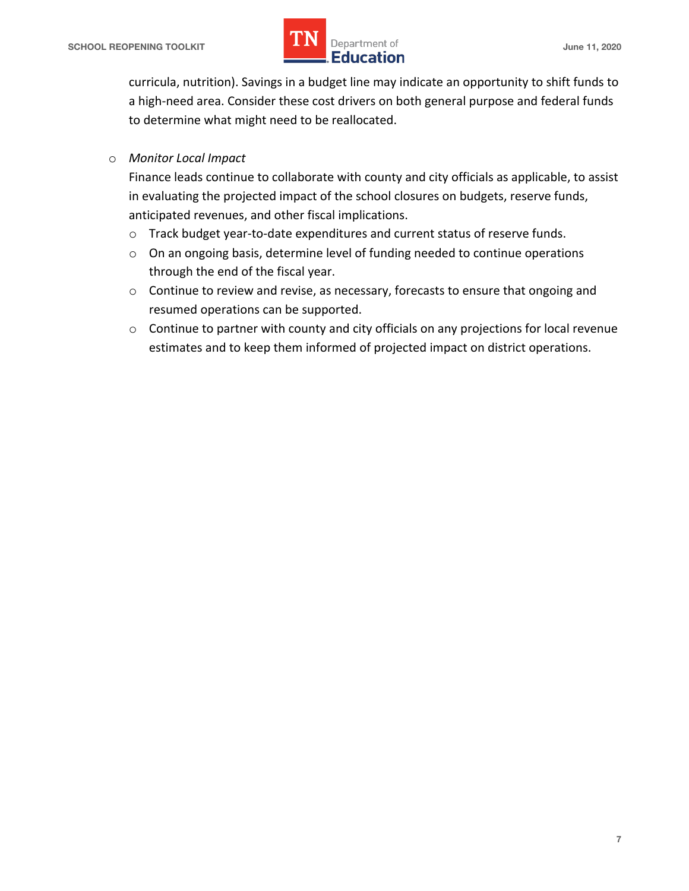

 curricula, nutrition). Savings in a budget line may indicate an opportunity to shift funds to a high-need area. Consider these cost drivers on both general purpose and federal funds to determine what might need to be reallocated.

## o *Monitor Local Impact*

 Finance leads continue to collaborate with county and city officials as applicable, to assist in evaluating the projected impact of the school closures on budgets, reserve funds, anticipated revenues, and other fiscal implications.

- o Track budget year-to-date expenditures and current status of reserve funds.
- $\circ$  On an ongoing basis, determine level of funding needed to continue operations through the end of the fiscal year.
- $\circ$  Continue to review and revise, as necessary, forecasts to ensure that ongoing and resumed operations can be supported.
- $\circ$  Continue to partner with county and city officials on any projections for local revenue estimates and to keep them informed of projected impact on district operations.